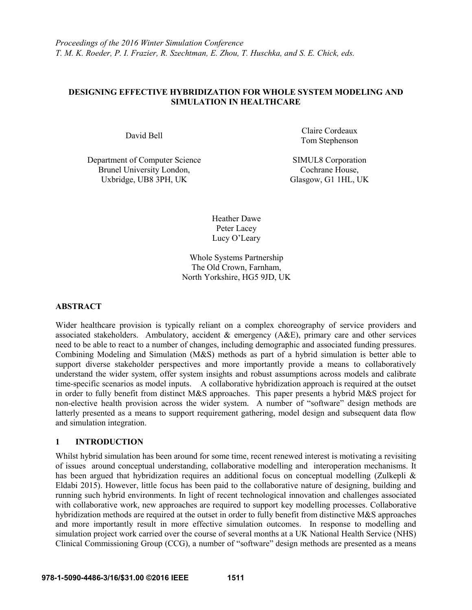# **DESIGNING EFFECTIVE HYBRIDIZATION FOR WHOLE SYSTEM MODELING AND SIMULATION IN HEALTHCARE**

Department of Computer Science SIMUL8 Corporation Brunel University London, Cochrane House, Uxbridge, UB8 3PH, UK Glasgow, G1 1HL, UK

David Bell Claire Cordeaux Tom Stephenson

Heather Dawe Peter Lacey Lucy O'Leary

Whole Systems Partnership The Old Crown, Farnham, North Yorkshire, HG5 9JD, UK

# **ABSTRACT**

Wider healthcare provision is typically reliant on a complex choreography of service providers and associated stakeholders. Ambulatory, accident & emergency (A&E), primary care and other services need to be able to react to a number of changes, including demographic and associated funding pressures. Combining Modeling and Simulation (M&S) methods as part of a hybrid simulation is better able to support diverse stakeholder perspectives and more importantly provide a means to collaboratively understand the wider system, offer system insights and robust assumptions across models and calibrate time-specific scenarios as model inputs. A collaborative hybridization approach is required at the outset in order to fully benefit from distinct M&S approaches. This paper presents a hybrid M&S project for non-elective health provision across the wider system. A number of "software" design methods are latterly presented as a means to support requirement gathering, model design and subsequent data flow and simulation integration.

# **1 INTRODUCTION**

Whilst hybrid simulation has been around for some time, recent renewed interest is motivating a revisiting of issues around conceptual understanding, collaborative modelling and interoperation mechanisms. It has been argued that hybridization requires an additional focus on conceptual modelling (Zulkepli & Eldabi 2015). However, little focus has been paid to the collaborative nature of designing, building and running such hybrid environments. In light of recent technological innovation and challenges associated with collaborative work, new approaches are required to support key modelling processes. Collaborative hybridization methods are required at the outset in order to fully benefit from distinctive M&S approaches and more importantly result in more effective simulation outcomes. In response to modelling and simulation project work carried over the course of several months at a UK National Health Service (NHS) Clinical Commissioning Group (CCG), a number of "software" design methods are presented as a means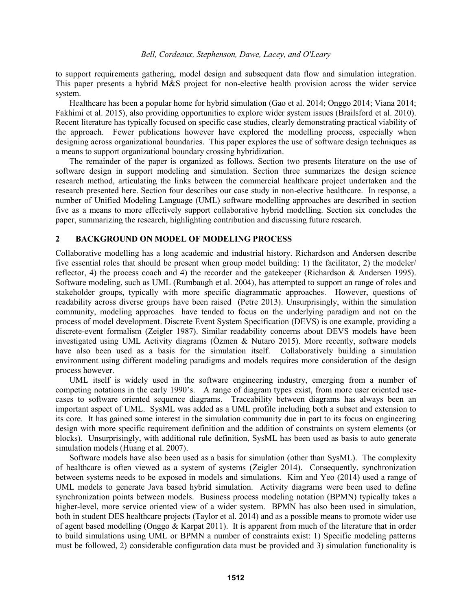to support requirements gathering, model design and subsequent data flow and simulation integration. This paper presents a hybrid M&S project for non-elective health provision across the wider service system.

Healthcare has been a popular home for hybrid simulation (Gao et al. 2014; Onggo 2014; Viana 2014; Fakhimi et al. 2015), also providing opportunities to explore wider system issues (Brailsford et al. 2010). Recent literature has typically focused on specific case studies, clearly demonstrating practical viability of the approach. Fewer publications however have explored the modelling process, especially when designing across organizational boundaries. This paper explores the use of software design techniques as a means to support organizational boundary crossing hybridization.

The remainder of the paper is organized as follows. Section two presents literature on the use of software design in support modeling and simulation. Section three summarizes the design science research method, articulating the links between the commercial healthcare project undertaken and the research presented here. Section four describes our case study in non-elective healthcare. In response, a number of Unified Modeling Language (UML) software modelling approaches are described in section five as a means to more effectively support collaborative hybrid modelling. Section six concludes the paper, summarizing the research, highlighting contribution and discussing future research.

# **2 BACKGROUND ON MODEL OF MODELING PROCESS**

Collaborative modelling has a long academic and industrial history. Richardson and Andersen describe five essential roles that should be present when group model building: 1) the facilitator, 2) the modeler/ reflector, 4) the process coach and 4) the recorder and the gatekeeper (Richardson & Andersen 1995). Software modeling, such as UML (Rumbaugh et al. 2004), has attempted to support an range of roles and stakeholder groups, typically with more specific diagrammatic approaches. However, questions of readability across diverse groups have been raised (Petre 2013). Unsurprisingly, within the simulation community, modeling approaches have tended to focus on the underlying paradigm and not on the process of model development. Discrete Event System Specification (DEVS) is one example, providing a discrete-event formalism (Zeigler 1987). Similar readability concerns about DEVS models have been investigated using UML Activity diagrams (Özmen & Nutaro 2015). More recently, software models have also been used as a basis for the simulation itself. Collaboratively building a simulation environment using different modeling paradigms and models requires more consideration of the design process however.

UML itself is widely used in the software engineering industry, emerging from a number of competing notations in the early 1990's. A range of diagram types exist, from more user oriented usecases to software oriented sequence diagrams. Traceability between diagrams has always been an important aspect of UML. SysML was added as a UML profile including both a subset and extension to its core. It has gained some interest in the simulation community due in part to its focus on engineering design with more specific requirement definition and the addition of constraints on system elements (or blocks). Unsurprisingly, with additional rule definition, SysML has been used as basis to auto generate simulation models (Huang et al. 2007).

Software models have also been used as a basis for simulation (other than SysML). The complexity of healthcare is often viewed as a system of systems (Zeigler 2014). Consequently, synchronization between systems needs to be exposed in models and simulations. Kim and Yeo (2014) used a range of UML models to generate Java based hybrid simulation. Activity diagrams were been used to define synchronization points between models. Business process modeling notation (BPMN) typically takes a higher-level, more service oriented view of a wider system. BPMN has also been used in simulation, both in student DES healthcare projects (Taylor et al. 2014) and as a possible means to promote wider use of agent based modelling (Onggo  $\&$  Karpat 2011). It is apparent from much of the literature that in order to build simulations using UML or BPMN a number of constraints exist: 1) Specific modeling patterns must be followed, 2) considerable configuration data must be provided and 3) simulation functionality is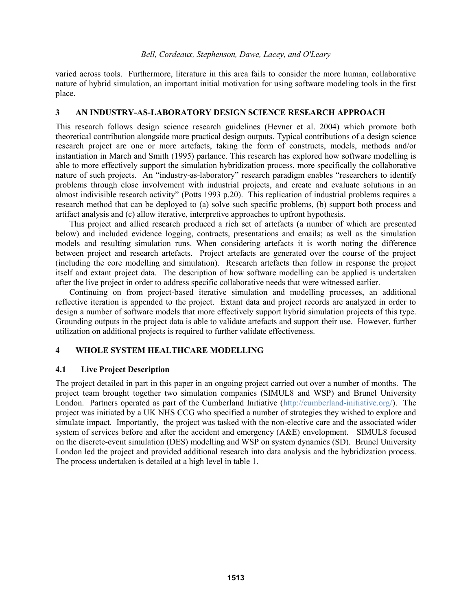# *Bell, Cordeaux, Stephenson, Dawe, Lacey, and O'Leary*

varied across tools. Furthermore, literature in this area fails to consider the more human, collaborative nature of hybrid simulation, an important initial motivation for using software modeling tools in the first place.

# **3 AN INDUSTRY-AS-LABORATORY DESIGN SCIENCE RESEARCH APPROACH**

This research follows design science research guidelines (Hevner et al. 2004) which promote both theoretical contribution alongside more practical design outputs. Typical contributions of a design science research project are one or more artefacts, taking the form of constructs, models, methods and/or instantiation in March and Smith (1995) parlance. This research has explored how software modelling is able to more effectively support the simulation hybridization process, more specifically the collaborative nature of such projects. An "industry-as-laboratory" research paradigm enables "researchers to identify problems through close involvement with industrial projects, and create and evaluate solutions in an almost indivisible research activity" (Potts 1993 p.20). This replication of industrial problems requires a research method that can be deployed to (a) solve such specific problems, (b) support both process and artifact analysis and (c) allow iterative, interpretive approaches to upfront hypothesis.

This project and allied research produced a rich set of artefacts (a number of which are presented below) and included evidence logging, contracts, presentations and emails; as well as the simulation models and resulting simulation runs. When considering artefacts it is worth noting the difference between project and research artefacts. Project artefacts are generated over the course of the project (including the core modelling and simulation). Research artefacts then follow in response the project itself and extant project data. The description of how software modelling can be applied is undertaken after the live project in order to address specific collaborative needs that were witnessed earlier.

Continuing on from project-based iterative simulation and modelling processes, an additional reflective iteration is appended to the project. Extant data and project records are analyzed in order to design a number of software models that more effectively support hybrid simulation projects of this type. Grounding outputs in the project data is able to validate artefacts and support their use. However, further utilization on additional projects is required to further validate effectiveness.

# **4 WHOLE SYSTEM HEALTHCARE MODELLING**

# **4.1 Live Project Description**

The project detailed in part in this paper in an ongoing project carried out over a number of months. The project team brought together two simulation companies (SIMUL8 and WSP) and Brunel University London. Partners operated as part of the Cumberland Initiative (http://cumberland-initiative.org/). The project was initiated by a UK NHS CCG who specified a number of strategies they wished to explore and simulate impact. Importantly, the project was tasked with the non-elective care and the associated wider system of services before and after the accident and emergency (A&E) envelopment. SIMUL8 focused on the discrete-event simulation (DES) modelling and WSP on system dynamics (SD). Brunel University London led the project and provided additional research into data analysis and the hybridization process. The process undertaken is detailed at a high level in table 1.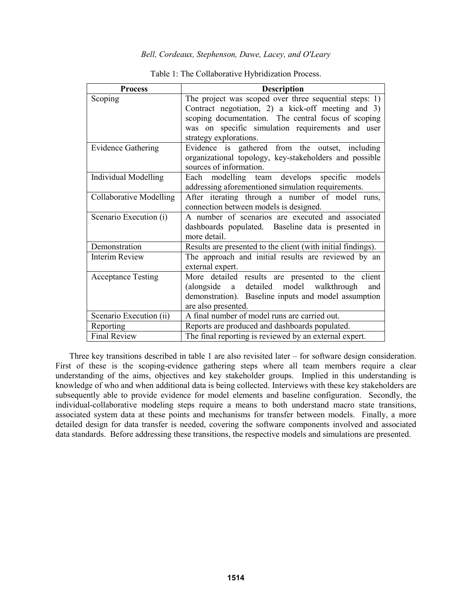### *Bell, Cordeaux, Stephenson, Dawe, Lacey, and O'Leary*

| <b>Process</b>                 | <b>Description</b>                                           |
|--------------------------------|--------------------------------------------------------------|
| Scoping                        | The project was scoped over three sequential steps: 1)       |
|                                | Contract negotiation, 2) a kick-off meeting and 3)           |
|                                | scoping documentation. The central focus of scoping          |
|                                | was on specific simulation requirements and user             |
|                                | strategy explorations.                                       |
| <b>Evidence Gathering</b>      | Evidence is gathered from the outset, including              |
|                                | organizational topology, key-stakeholders and possible       |
|                                | sources of information.                                      |
| <b>Individual Modelling</b>    | Each modelling team develops specific<br>models              |
|                                | addressing aforementioned simulation requirements.           |
| <b>Collaborative Modelling</b> | After iterating through a number of model runs,              |
|                                | connection between models is designed.                       |
| Scenario Execution (i)         | A number of scenarios are executed and associated            |
|                                | dashboards populated. Baseline data is presented in          |
|                                | more detail.                                                 |
| Demonstration                  | Results are presented to the client (with initial findings). |
| <b>Interim Review</b>          | The approach and initial results are reviewed by an          |
|                                | external expert.                                             |
| <b>Acceptance Testing</b>      | More detailed results are presented to the client            |
|                                | (alongside a detailed model walkthrough<br>and               |
|                                | demonstration). Baseline inputs and model assumption         |
|                                | are also presented.                                          |
| Scenario Execution (ii)        | A final number of model runs are carried out.                |
| Reporting                      | Reports are produced and dashboards populated.               |
| <b>Final Review</b>            | The final reporting is reviewed by an external expert.       |

Table 1: The Collaborative Hybridization Process.

Three key transitions described in table 1 are also revisited later – for software design consideration. First of these is the scoping-evidence gathering steps where all team members require a clear understanding of the aims, objectives and key stakeholder groups. Implied in this understanding is knowledge of who and when additional data is being collected. Interviews with these key stakeholders are subsequently able to provide evidence for model elements and baseline configuration. Secondly, the individual-collaborative modeling steps require a means to both understand macro state transitions, associated system data at these points and mechanisms for transfer between models. Finally, a more detailed design for data transfer is needed, covering the software components involved and associated data standards. Before addressing these transitions, the respective models and simulations are presented.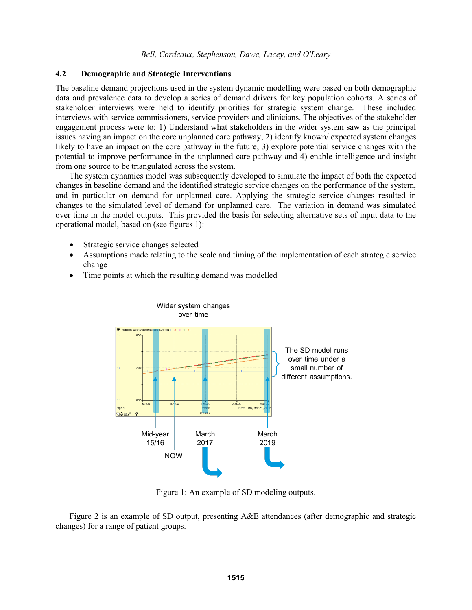### **4.2 Demographic and Strategic Interventions**

The baseline demand projections used in the system dynamic modelling were based on both demographic data and prevalence data to develop a series of demand drivers for key population cohorts. A series of stakeholder interviews were held to identify priorities for strategic system change. These included interviews with service commissioners, service providers and clinicians. The objectives of the stakeholder engagement process were to: 1) Understand what stakeholders in the wider system saw as the principal issues having an impact on the core unplanned care pathway, 2) identify known/ expected system changes likely to have an impact on the core pathway in the future, 3) explore potential service changes with the potential to improve performance in the unplanned care pathway and 4) enable intelligence and insight from one source to be triangulated across the system.

The system dynamics model was subsequently developed to simulate the impact of both the expected changes in baseline demand and the identified strategic service changes on the performance of the system, and in particular on demand for unplanned care. Applying the strategic service changes resulted in changes to the simulated level of demand for unplanned care. The variation in demand was simulated over time in the model outputs. This provided the basis for selecting alternative sets of input data to the operational model, based on (see figures 1):

- Strategic service changes selected
- Assumptions made relating to the scale and timing of the implementation of each strategic service change
- Time points at which the resulting demand was modelled



Figure 1: An example of SD modeling outputs.

Figure 2 is an example of SD output, presenting A&E attendances (after demographic and strategic changes) for a range of patient groups.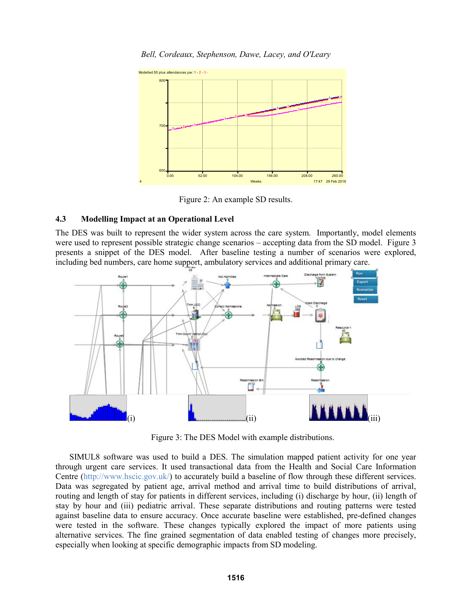*Bell, Cordeaux, Stephenson, Dawe, Lacey, and O'Leary*



Figure 2: An example SD results.

# **4.3 Modelling Impact at an Operational Level**

The DES was built to represent the wider system across the care system. Importantly, model elements were used to represent possible strategic change scenarios – accepting data from the SD model. Figure 3 presents a snippet of the DES model. After baseline testing a number of scenarios were explored, including bed numbers, care home support, ambulatory services and additional primary care.



Figure 3: The DES Model with example distributions.

SIMUL8 software was used to build a DES. The simulation mapped patient activity for one year through urgent care services. It used transactional data from the Health and Social Care Information Centre (http://www.hscic.gov.uk/) to accurately build a baseline of flow through these different services. Data was segregated by patient age, arrival method and arrival time to build distributions of arrival, routing and length of stay for patients in different services, including (i) discharge by hour, (ii) length of stay by hour and (iii) pediatric arrival. These separate distributions and routing patterns were tested against baseline data to ensure accuracy. Once accurate baseline were established, pre-defined changes were tested in the software. These changes typically explored the impact of more patients using alternative services. The fine grained segmentation of data enabled testing of changes more precisely, especially when looking at specific demographic impacts from SD modeling.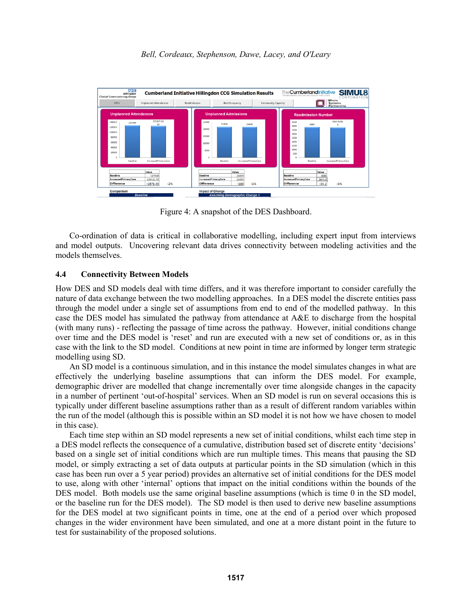

Figure 4: A snapshot of the DES Dashboard.

Co-ordination of data is critical in collaborative modelling, including expert input from interviews and model outputs. Uncovering relevant data drives connectivity between modeling activities and the models themselves.

#### **4.4 Connectivity Between Models**

How DES and SD models deal with time differs, and it was therefore important to consider carefully the nature of data exchange between the two modelling approaches. In a DES model the discrete entities pass through the model under a single set of assumptions from end to end of the modelled pathway. In this case the DES model has simulated the pathway from attendance at A&E to discharge from the hospital (with many runs) - reflecting the passage of time across the pathway. However, initial conditions change over time and the DES model is 'reset' and run are executed with a new set of conditions or, as in this case with the link to the SD model. Conditions at new point in time are informed by longer term strategic modelling using SD.

An SD model is a continuous simulation, and in this instance the model simulates changes in what are effectively the underlying baseline assumptions that can inform the DES model. For example, demographic driver are modelled that change incrementally over time alongside changes in the capacity in a number of pertinent 'out-of-hospital' services. When an SD model is run on several occasions this is typically under different baseline assumptions rather than as a result of different random variables within the run of the model (although this is possible within an SD model it is not how we have chosen to model in this case).

Each time step within an SD model represents a new set of initial conditions, whilst each time step in a DES model reflects the consequence of a cumulative, distribution based set of discrete entity 'decisions' based on a single set of initial conditions which are run multiple times. This means that pausing the SD model, or simply extracting a set of data outputs at particular points in the SD simulation (which in this case has been run over a 5 year period) provides an alternative set of initial conditions for the DES model to use, along with other 'internal' options that impact on the initial conditions within the bounds of the DES model. Both models use the same original baseline assumptions (which is time 0 in the SD model, or the baseline run for the DES model). The SD model is then used to derive new baseline assumptions for the DES model at two significant points in time, one at the end of a period over which proposed changes in the wider environment have been simulated, and one at a more distant point in the future to test for sustainability of the proposed solutions.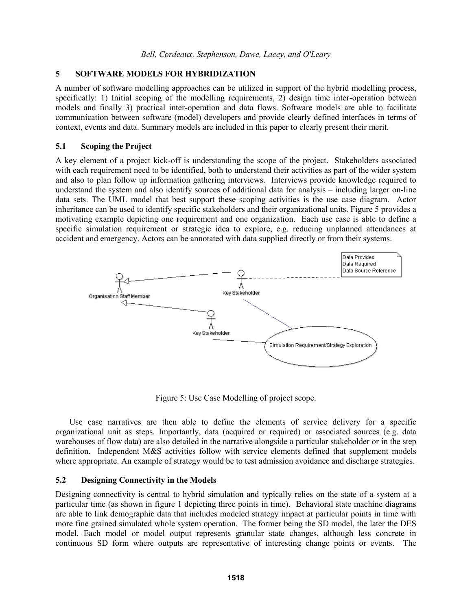# **5 SOFTWARE MODELS FOR HYBRIDIZATION**

A number of software modelling approaches can be utilized in support of the hybrid modelling process, specifically: 1) Initial scoping of the modelling requirements, 2) design time inter-operation between models and finally 3) practical inter-operation and data flows. Software models are able to facilitate communication between software (model) developers and provide clearly defined interfaces in terms of context, events and data. Summary models are included in this paper to clearly present their merit.

# **5.1 Scoping the Project**

A key element of a project kick-off is understanding the scope of the project. Stakeholders associated with each requirement need to be identified, both to understand their activities as part of the wider system and also to plan follow up information gathering interviews. Interviews provide knowledge required to understand the system and also identify sources of additional data for analysis – including larger on-line data sets. The UML model that best support these scoping activities is the use case diagram. Actor inheritance can be used to identify specific stakeholders and their organizational units. Figure 5 provides a motivating example depicting one requirement and one organization. Each use case is able to define a specific simulation requirement or strategic idea to explore, e.g. reducing unplanned attendances at accident and emergency. Actors can be annotated with data supplied directly or from their systems.



Figure 5: Use Case Modelling of project scope.

Use case narratives are then able to define the elements of service delivery for a specific organizational unit as steps. Importantly, data (acquired or required) or associated sources (e.g. data warehouses of flow data) are also detailed in the narrative alongside a particular stakeholder or in the step definition. Independent M&S activities follow with service elements defined that supplement models where appropriate. An example of strategy would be to test admission avoidance and discharge strategies.

# **5.2 Designing Connectivity in the Models**

Designing connectivity is central to hybrid simulation and typically relies on the state of a system at a particular time (as shown in figure 1 depicting three points in time). Behavioral state machine diagrams are able to link demographic data that includes modeled strategy impact at particular points in time with more fine grained simulated whole system operation. The former being the SD model, the later the DES model. Each model or model output represents granular state changes, although less concrete in continuous SD form where outputs are representative of interesting change points or events. The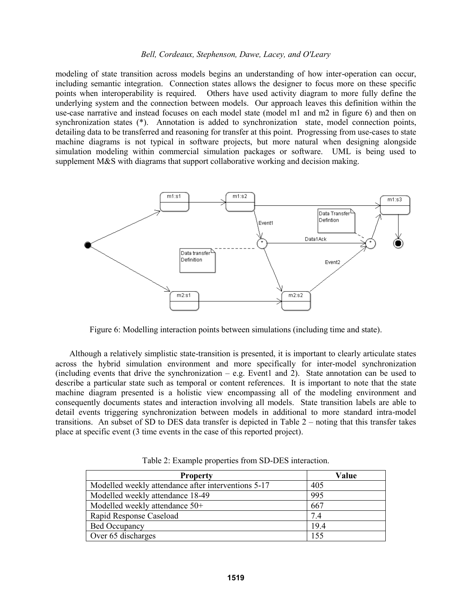#### *Bell, Cordeaux, Stephenson, Dawe, Lacey, and O'Leary*

modeling of state transition across models begins an understanding of how inter-operation can occur, including semantic integration. Connection states allows the designer to focus more on these specific points when interoperability is required. Others have used activity diagram to more fully define the underlying system and the connection between models. Our approach leaves this definition within the use-case narrative and instead focuses on each model state (model m1 and m2 in figure 6) and then on synchronization states (\*). Annotation is added to synchronization state, model connection points, detailing data to be transferred and reasoning for transfer at this point. Progressing from use-cases to state machine diagrams is not typical in software projects, but more natural when designing alongside simulation modeling within commercial simulation packages or software. UML is being used to supplement M&S with diagrams that support collaborative working and decision making.



Figure 6: Modelling interaction points between simulations (including time and state).

Although a relatively simplistic state-transition is presented, it is important to clearly articulate states across the hybrid simulation environment and more specifically for inter-model synchronization (including events that drive the synchronization  $-$  e.g. Event1 and 2). State annotation can be used to describe a particular state such as temporal or content references. It is important to note that the state machine diagram presented is a holistic view encompassing all of the modeling environment and consequently documents states and interaction involving all models. State transition labels are able to detail events triggering synchronization between models in additional to more standard intra-model transitions. An subset of SD to DES data transfer is depicted in Table 2 – noting that this transfer takes place at specific event (3 time events in the case of this reported project).

| <b>Property</b>                                     | Value |
|-----------------------------------------------------|-------|
| Modelled weekly attendance after interventions 5-17 | 405   |
| Modelled weekly attendance 18-49                    | 995   |
| Modelled weekly attendance 50+                      | 667   |
| Rapid Response Caseload                             | 7.4   |
| Bed Occupancy                                       | 19.4  |
| Over 65 discharges                                  | 155   |

Table 2: Example properties from SD-DES interaction.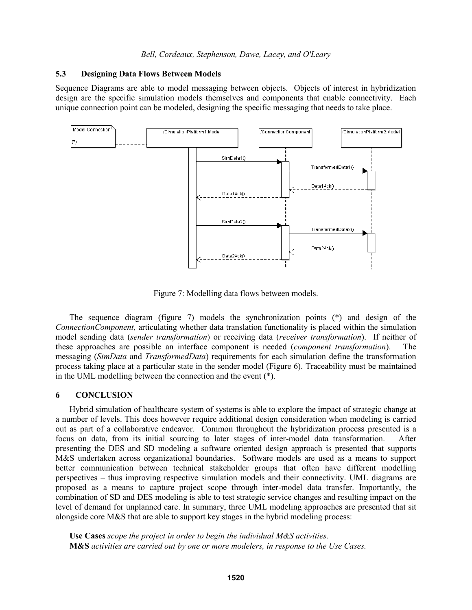# **5.3 Designing Data Flows Between Models**

Sequence Diagrams are able to model messaging between objects. Objects of interest in hybridization design are the specific simulation models themselves and components that enable connectivity. Each unique connection point can be modeled, designing the specific messaging that needs to take place.



Figure 7: Modelling data flows between models.

The sequence diagram (figure 7) models the synchronization points (\*) and design of the *ConnectionComponent,* articulating whether data translation functionality is placed within the simulation model sending data (*sender transformation*) or receiving data (*receiver transformation*). If neither of these approaches are possible an interface component is needed (*component transformation*). The messaging (*SimData* and *TransformedData*) requirements for each simulation define the transformation process taking place at a particular state in the sender model (Figure 6). Traceability must be maintained in the UML modelling between the connection and the event (\*).

### **6 CONCLUSION**

Hybrid simulation of healthcare system of systems is able to explore the impact of strategic change at a number of levels. This does however require additional design consideration when modeling is carried out as part of a collaborative endeavor. Common throughout the hybridization process presented is a focus on data, from its initial sourcing to later stages of inter-model data transformation. After presenting the DES and SD modeling a software oriented design approach is presented that supports M&S undertaken across organizational boundaries. Software models are used as a means to support better communication between technical stakeholder groups that often have different modelling perspectives – thus improving respective simulation models and their connectivity. UML diagrams are proposed as a means to capture project scope through inter-model data transfer. Importantly, the combination of SD and DES modeling is able to test strategic service changes and resulting impact on the level of demand for unplanned care. In summary, three UML modeling approaches are presented that sit alongside core M&S that are able to support key stages in the hybrid modeling process:

**Use Cases** *scope the project in order to begin the individual M&S activities.* **M&S** *activities are carried out by one or more modelers, in response to the Use Cases.*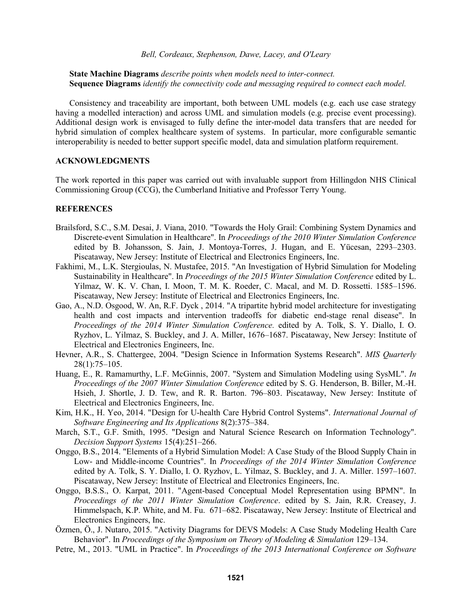### **State Machine Diagrams** *describe points when models need to inter-connect.* **Sequence Diagrams** *identify the connectivity code and messaging required to connect each model.*

Consistency and traceability are important, both between UML models (e.g. each use case strategy having a modelled interaction) and across UML and simulation models (e.g. precise event processing). Additional design work is envisaged to fully define the inter-model data transfers that are needed for hybrid simulation of complex healthcare system of systems. In particular, more configurable semantic interoperability is needed to better support specific model, data and simulation platform requirement.

# **ACKNOWLEDGMENTS**

The work reported in this paper was carried out with invaluable support from Hillingdon NHS Clinical Commissioning Group (CCG), the Cumberland Initiative and Professor Terry Young.

### **REFERENCES**

- Brailsford, S.C., S.M. Desai, J. Viana, 2010. "Towards the Holy Grail: Combining System Dynamics and Discrete-event Simulation in Healthcare". In *Proceedings of the 2010 Winter Simulation Conference*  edited by B. Johansson, S. Jain, J. Montoya-Torres, J. Hugan, and E. Yücesan, 2293–2303. Piscataway, New Jersey: Institute of Electrical and Electronics Engineers, Inc.
- Fakhimi, M., L.K. Stergioulas, N. Mustafee, 2015. "An Investigation of Hybrid Simulation for Modeling Sustainability in Healthcare". In *Proceedings of the 2015 Winter Simulation Conference* edited by L. Yilmaz, W. K. V. Chan, I. Moon, T. M. K. Roeder, C. Macal, and M. D. Rossetti. 1585–1596. Piscataway, New Jersey: Institute of Electrical and Electronics Engineers, Inc.
- Gao, A., N.D. Osgood, W. An, R.F. Dyck , 2014. "A tripartite hybrid model architecture for investigating health and cost impacts and intervention tradeoffs for diabetic end-stage renal disease". In *Proceedings of the 2014 Winter Simulation Conference.* edited by A. Tolk, S. Y. Diallo, I. O. Ryzhov, L. Yilmaz, S. Buckley, and J. A. Miller, 1676–1687. Piscataway, New Jersey: Institute of Electrical and Electronics Engineers, Inc.
- Hevner, A.R., S. Chattergee, 2004. "Design Science in Information Systems Research". *MIS Quarterly* 28(1):75–105.
- Huang, E., R. Ramamurthy, L.F. McGinnis, 2007. "System and Simulation Modeling using SysML". *In Proceedings of the 2007 Winter Simulation Conference* edited by S. G. Henderson, B. Biller, M.-H. Hsieh, J. Shortle, J. D. Tew, and R. R. Barton. 796–803. Piscataway, New Jersey: Institute of Electrical and Electronics Engineers, Inc.
- Kim, H.K., H. Yeo, 2014. "Design for U-health Care Hybrid Control Systems". *International Journal of Software Engineering and Its Applications* 8(2):375–384.
- March, S.T., G.F. Smith, 1995. "Design and Natural Science Research on Information Technology". *Decision Support Systems* 15(4):251–266.
- Onggo, B.S., 2014. "Elements of a Hybrid Simulation Model: A Case Study of the Blood Supply Chain in Low- and Middle-income Countries". In *Proceedings of the 2014 Winter Simulation Conference* edited by A. Tolk, S. Y. Diallo, I. O. Ryzhov, L. Yilmaz, S. Buckley, and J. A. Miller. 1597–1607. Piscataway, New Jersey: Institute of Electrical and Electronics Engineers, Inc.
- Onggo, B.S.S., O. Karpat, 2011. "Agent-based Conceptual Model Representation using BPMN". In *Proceedings of the 2011 Winter Simulation Conference*. edited by S. Jain, R.R. Creasey, J. Himmelspach, K.P. White, and M. Fu. 671–682. Piscataway, New Jersey: Institute of Electrical and Electronics Engineers, Inc.
- Özmen, Ö., J. Nutaro, 2015. "Activity Diagrams for DEVS Models: A Case Study Modeling Health Care Behavior". In *Proceedings of the Symposium on Theory of Modeling & Simulation* 129–134.
- Petre, M., 2013. "UML in Practice". In *Proceedings of the 2013 International Conference on Software*